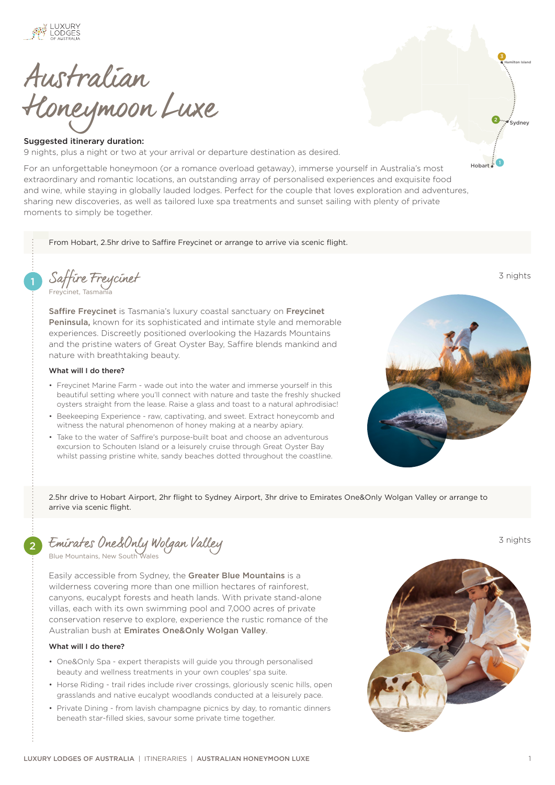

Australian Honeymoon Luxe

## Suggested itinerary duration:

9 nights, plus a night or two at your arrival or departure destination as desired.

For an unforgettable honeymoon (or a romance overload getaway), immerse yourself in Australia's most extraordinary and romantic locations, an outstanding array of personalised experiences and exquisite food and wine, while staying in globally lauded lodges. Perfect for the couple that loves exploration and adventures, sharing new discoveries, as well as tailored luxe spa treatments and sunset sailing with plenty of private moments to simply be together.

From Hobart, 2.5hr drive to Saffire Freycinet or arrange to arrive via scenic flight.

1 [Saffire Freycinet](https://luxurylodgesofaustralia.com.au/lodges/saffire/) 3 nights [Freycinet, Tasmania](https://luxurylodgesofaustralia.com.au/destinations/freycinet/)

[Saffire Freycinet](https://luxurylodgesofaustralia.com.au/lodges/saffire/) is Tasmania's luxury coastal sanctuary on Freycinet [Peninsula,](https://luxurylodgesofaustralia.com.au/destinations/freycinet/) known for its sophisticated and intimate style and memorable experiences. Discreetly positioned overlooking the Hazards Mountains and the pristine waters of Great Oyster Bay, Saffire blends mankind and nature with breathtaking beauty.

# What will I do there?

- Freycinet Marine Farm wade out into the water and immerse yourself in this beautiful setting where you'll connect with nature and taste the freshly shucked oysters straight from the lease. Raise a glass and toast to a natural aphrodisiac!
- Beekeeping Experience raw, captivating, and sweet. Extract honeycomb and witness the natural phenomenon of honey making at a nearby apiary.
- Take to the water of Saffire's purpose-built boat and choose an adventurous excursion to Schouten Island or a leisurely cruise through Great Oyster Bay whilst passing pristine white, sandy beaches dotted throughout the coastline.



Hobart

.<br>Svdnev

2

Hamilton Island 3

2.5hr drive to Hobart Airport, 2hr flight to Sydney Airport, 3hr drive to Emirates One&Only Wolgan Valley or arrange to arrive via scenic flight.

2 [Emirates One&Only Wolgan Valley](https://luxurylodgesofaustralia.com.au/lodges/wolganvalley/) 3 nights

[Blue Mountains, New South Wales](https://luxurylodgesofaustralia.com.au/destinations/blue-mountains/)

Easily accessible from Sydney, the [Greater Blue Mountains](https://luxurylodgesofaustralia.com.au/destinations/blue-mountains/) is a wilderness covering more than one million hectares of rainforest, canyons, eucalypt forests and heath lands. With private stand-alone villas, each with its own swimming pool and 7,000 acres of private conservation reserve to explore, experience the rustic romance of the Australian bush at [Emirates One&Only Wolgan Valley](https://luxurylodgesofaustralia.com.au/lodges/wolganvalley/).

### What will I do there?

- One&Only Spa expert therapists will guide you through personalised beauty and wellness treatments in your own couples' spa suite.
- Horse Riding trail rides include river crossings, gloriously scenic hills, open grasslands and native eucalypt woodlands conducted at a leisurely pace.
- Private Dining from lavish champagne picnics by day, to romantic dinners beneath star-filled skies, savour some private time together.